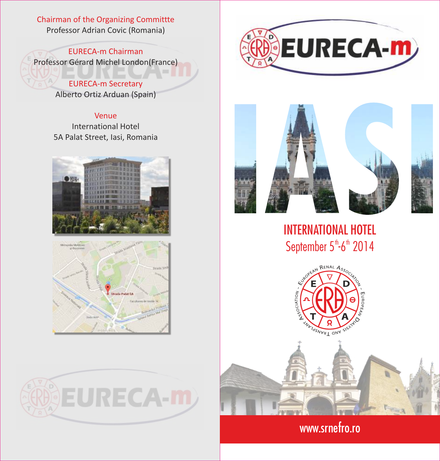## Chairman of the Organizing Committte Professor Adrian Covic (Romania)

EURECA-m Chairman Professor Gérard Michel London(France)

> EURECA-m Secretary Alberto Ortiz Arduan (Spain)

#### Venue

International Hotel 5A Palat Street, Iasi, Romania











# INTERNATIONAL HOTEL September  $5$ <sup>th</sup>-6<sup>th</sup> 2014